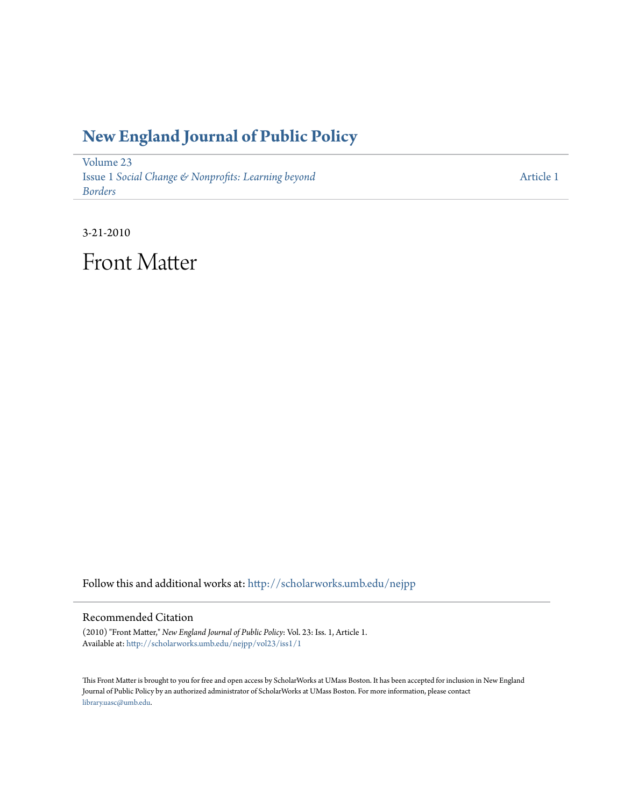### **[New England Journal of Public Policy](http://scholarworks.umb.edu/nejpp?utm_source=scholarworks.umb.edu%2Fnejpp%2Fvol23%2Fiss1%2F1&utm_medium=PDF&utm_campaign=PDFCoverPages)**

[Volume 23](http://scholarworks.umb.edu/nejpp/vol23?utm_source=scholarworks.umb.edu%2Fnejpp%2Fvol23%2Fiss1%2F1&utm_medium=PDF&utm_campaign=PDFCoverPages) Issue 1 *[Social Change & Nonprofits: Learning beyond](http://scholarworks.umb.edu/nejpp/vol23/iss1?utm_source=scholarworks.umb.edu%2Fnejpp%2Fvol23%2Fiss1%2F1&utm_medium=PDF&utm_campaign=PDFCoverPages) [Borders](http://scholarworks.umb.edu/nejpp/vol23/iss1?utm_source=scholarworks.umb.edu%2Fnejpp%2Fvol23%2Fiss1%2F1&utm_medium=PDF&utm_campaign=PDFCoverPages)*

[Article 1](http://scholarworks.umb.edu/nejpp/vol23/iss1/1?utm_source=scholarworks.umb.edu%2Fnejpp%2Fvol23%2Fiss1%2F1&utm_medium=PDF&utm_campaign=PDFCoverPages)

3-21-2010

Front Matter

Follow this and additional works at: [http://scholarworks.umb.edu/nejpp](http://scholarworks.umb.edu/nejpp?utm_source=scholarworks.umb.edu%2Fnejpp%2Fvol23%2Fiss1%2F1&utm_medium=PDF&utm_campaign=PDFCoverPages)

#### Recommended Citation

(2010) "Front Matter," *New England Journal of Public Policy*: Vol. 23: Iss. 1, Article 1. Available at: [http://scholarworks.umb.edu/nejpp/vol23/iss1/1](http://scholarworks.umb.edu/nejpp/vol23/iss1/1?utm_source=scholarworks.umb.edu%2Fnejpp%2Fvol23%2Fiss1%2F1&utm_medium=PDF&utm_campaign=PDFCoverPages)

This Front Matter is brought to you for free and open access by ScholarWorks at UMass Boston. It has been accepted for inclusion in New England Journal of Public Policy by an authorized administrator of ScholarWorks at UMass Boston. For more information, please contact [library.uasc@umb.edu.](mailto:library.uasc@umb.edu)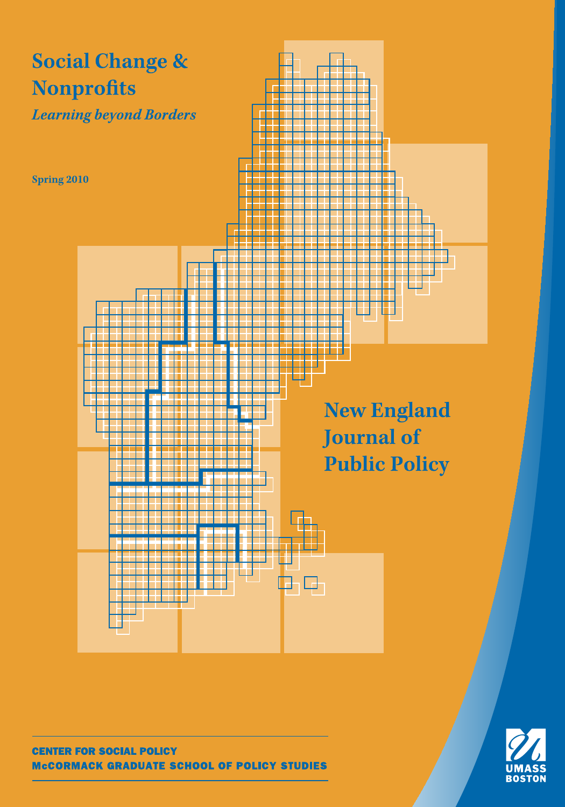



**ENTER FOR SOCIAL POLICY CCORMACK GRADUATE SCHOOL OF POLICY STUDIES**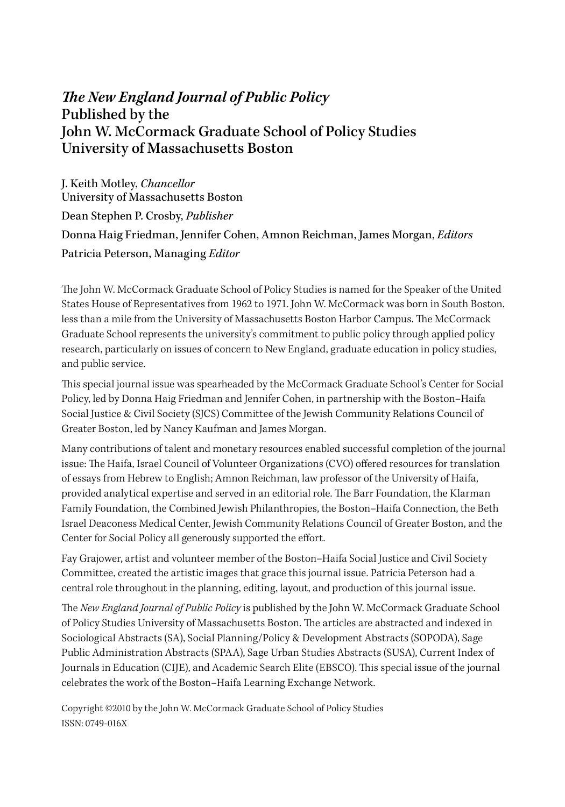#### *The New England Journal of Public Policy*  Published by the John W. McCormack Graduate School of Policy Studies University of Massachusetts Boston

J. Keith Motley, *Chancellor* University of Massachusetts Boston Dean Stephen P. Crosby, *Publisher* Donna Haig Friedman, Jennifer Cohen, Amnon Reichman, James Morgan, *Editors* Patricia Peterson, Managing *Editor*

The John W. McCormack Graduate School of Policy Studies is named for the Speaker of the United States House of Representatives from 1962 to 1971. John W. McCormack was born in South Boston, less than a mile from the University of Massachusetts Boston Harbor Campus. The McCormack Graduate School represents the university's commitment to public policy through applied policy research, particularly on issues of concern to New England, graduate education in policy studies, and public service.

This special journal issue was spearheaded by the McCormack Graduate School's Center for Social Policy, led by Donna Haig Friedman and Jennifer Cohen, in partnership with the Boston–Haifa Social Justice & Civil Society (SJCS) Committee of the Jewish Community Relations Council of Greater Boston, led by Nancy Kaufman and James Morgan.

Many contributions of talent and monetary resources enabled successful completion of the journal issue: The Haifa, Israel Council of Volunteer Organizations (CVO) offered resources for translation of essays from Hebrew to English; Amnon Reichman, law professor of the University of Haifa, provided analytical expertise and served in an editorial role. The Barr Foundation, the Klarman Family Foundation, the Combined Jewish Philanthropies, the Boston–Haifa Connection, the Beth Israel Deaconess Medical Center, Jewish Community Relations Council of Greater Boston, and the Center for Social Policy all generously supported the effort.

Fay Grajower, artist and volunteer member of the Boston–Haifa Social Justice and Civil Society Committee, created the artistic images that grace this journal issue. Patricia Peterson had a central role throughout in the planning, editing, layout, and production of this journal issue.

The *New England Journal of Public Policy* is published by the John W. McCormack Graduate School of Policy Studies University of Massachusetts Boston. The articles are abstracted and indexed in Sociological Abstracts (SA), Social Planning/Policy & Development Abstracts (SOPODA), Sage Public Administration Abstracts (SPAA), Sage Urban Studies Abstracts (SUSA), Current Index of Journals in Education (CIJE), and Academic Search Elite (EBSCO). This special issue of the journal celebrates the work of the Boston–Haifa Learning Exchange Network.

Copyright ©2010 by the John W. McCormack Graduate School of Policy Studies ISSN: 0749-016X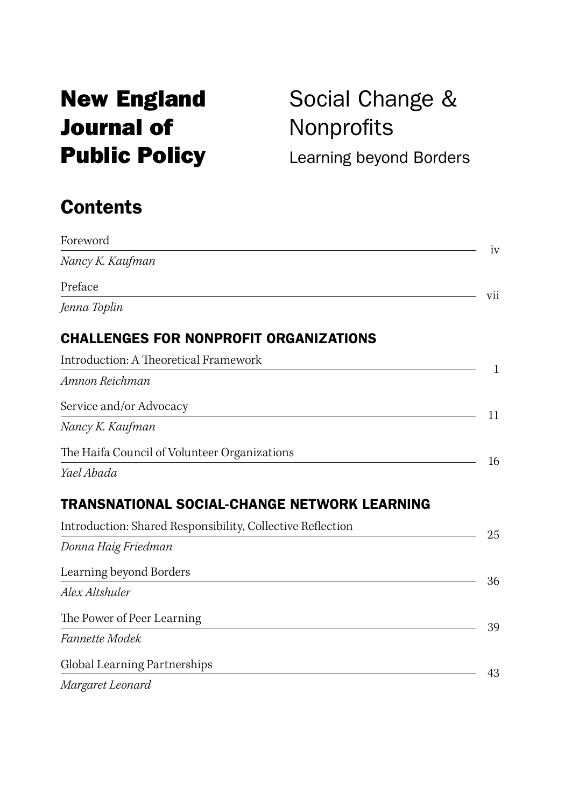# New England Journal of Public Policy

**Contents** 

## Social Change & **Nonprofits**

Learning beyond Borders

### Foreword iv *Nancy K. Kaufman* Preface vii *Jenna Toplin*  CHALLENGES FOR NONPROFIT ORGANIZATIONS Introduction: A Theoretical Framework 1 *Amnon Reichman*  Service and/or Advocacy 11 *Nancy K. Kaufman*  The Haifa Council of Volunteer Organizations 16 *Yael Abada*  TRANSNATIONAL SOCIAL-CHANGE NETWORK LEARNING Introduction: Shared Responsibility, Collective Reflection 25 *Donna Haig Friedman* Learning beyond Borders 36 *Alex Altshuler*  The Power of Peer Learning 39 *Fannette Modek* Global Learning Partnerships 43

*Margaret Leonard*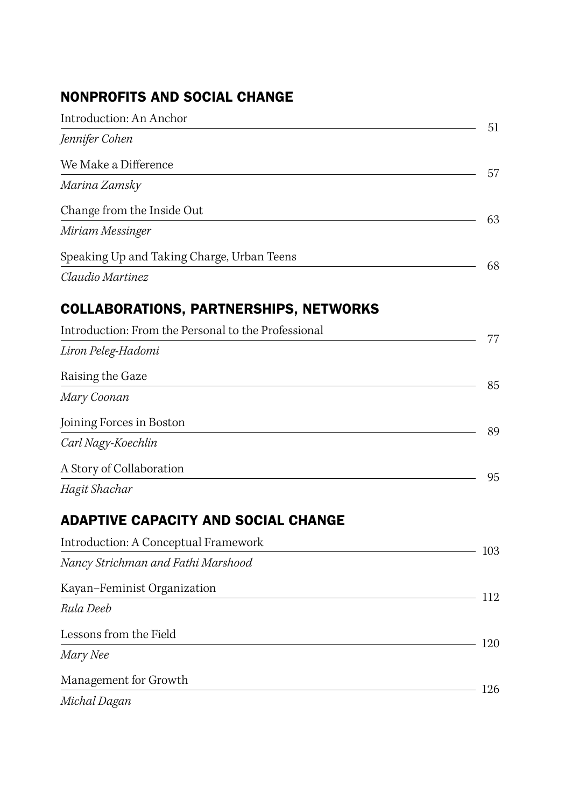### NONPROFITS AND SOCIAL CHANGE

| Introduction: An Anchor                             |     |
|-----------------------------------------------------|-----|
| Jennifer Cohen                                      | 51  |
| We Make a Difference                                | 57  |
| Marina Zamsky                                       |     |
| Change from the Inside Out                          | 63  |
| Miriam Messinger                                    |     |
| Speaking Up and Taking Charge, Urban Teens          | 68  |
| Claudio Martinez                                    |     |
| <b>COLLABORATIONS, PARTNERSHIPS, NETWORKS</b>       |     |
| Introduction: From the Personal to the Professional | 77  |
| Liron Peleg-Hadomi                                  |     |
| Raising the Gaze                                    | 85  |
| Mary Coonan                                         |     |
| Joining Forces in Boston                            | 89  |
| Carl Nagy-Koechlin                                  |     |
| A Story of Collaboration                            | 95  |
| Hagit Shachar                                       |     |
| <b>ADAPTIVE CAPACITY AND SOCIAL CHANGE</b>          |     |
| Introduction: A Conceptual Framework                |     |
| Nancy Strichman and Fathi Marshood                  | 103 |
| Kayan-Feminist Organization                         | 112 |
| Rula Deeb                                           |     |
| Lessons from the Field                              |     |
| Mary Nee                                            | 120 |
| Management for Growth                               |     |
| Michal Dagan                                        | 126 |